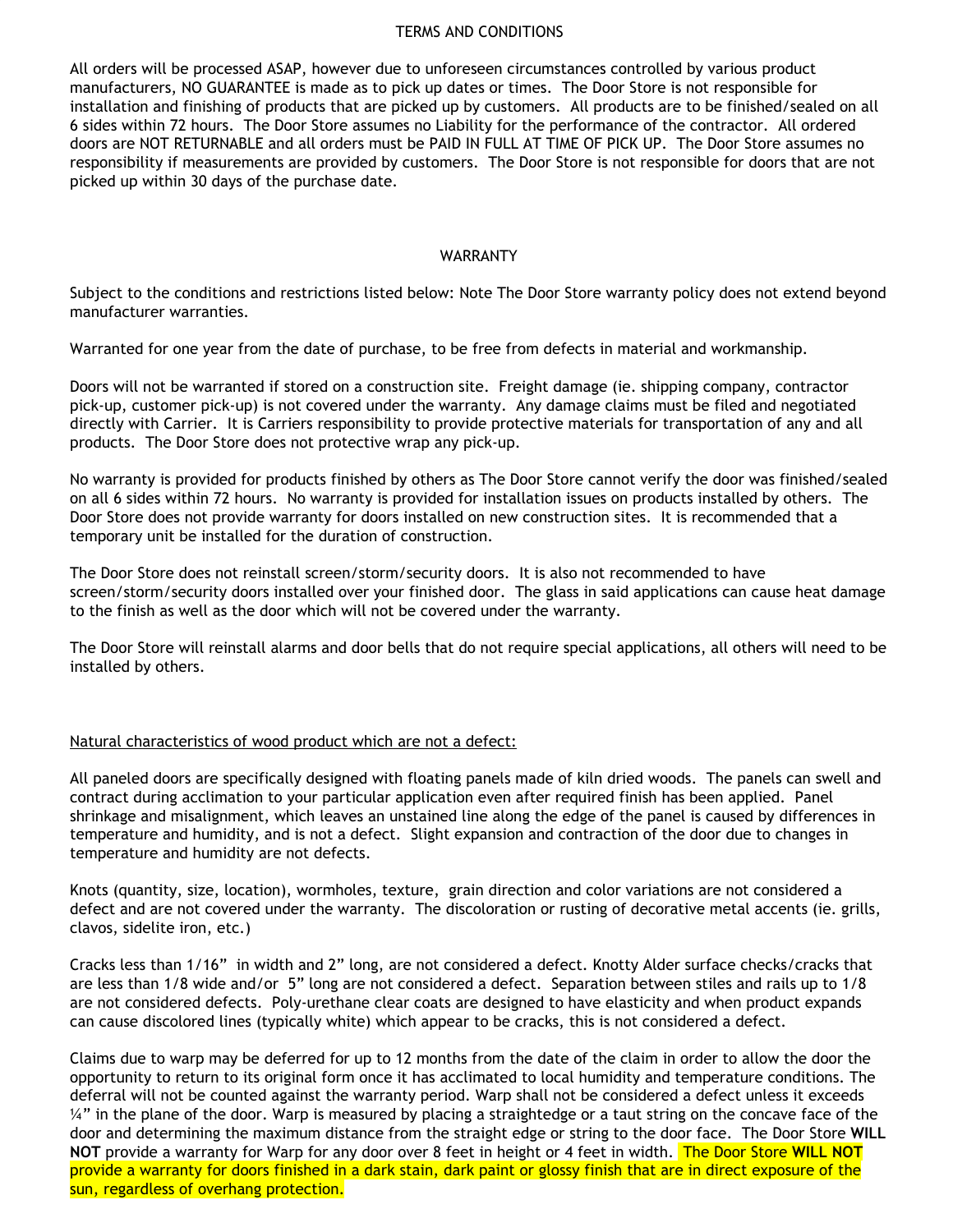### TERMS AND CONDITIONS

All orders will be processed ASAP, however due to unforeseen circumstances controlled by various product manufacturers, NO GUARANTEE is made as to pick up dates or times. The Door Store is not responsible for installation and finishing of products that are picked up by customers. All products are to be finished/sealed on all 6 sides within 72 hours. The Door Store assumes no Liability for the performance of the contractor. All ordered doors are NOT RETURNABLE and all orders must be PAID IN FULL AT TIME OF PICK UP. The Door Store assumes no responsibility if measurements are provided by customers. The Door Store is not responsible for doors that are not picked up within 30 days of the purchase date.

## WARRANTY

Subject to the conditions and restrictions listed below: Note The Door Store warranty policy does not extend beyond manufacturer warranties.

Warranted for one year from the date of purchase, to be free from defects in material and workmanship.

Doors will not be warranted if stored on a construction site. Freight damage (ie. shipping company, contractor pick-up, customer pick-up) is not covered under the warranty. Any damage claims must be filed and negotiated directly with Carrier. It is Carriers responsibility to provide protective materials for transportation of any and all products. The Door Store does not protective wrap any pick-up.

No warranty is provided for products finished by others as The Door Store cannot verify the door was finished/sealed on all 6 sides within 72 hours. No warranty is provided for installation issues on products installed by others. The Door Store does not provide warranty for doors installed on new construction sites. It is recommended that a temporary unit be installed for the duration of construction.

The Door Store does not reinstall screen/storm/security doors. It is also not recommended to have screen/storm/security doors installed over your finished door. The glass in said applications can cause heat damage to the finish as well as the door which will not be covered under the warranty.

The Door Store will reinstall alarms and door bells that do not require special applications, all others will need to be installed by others.

## Natural characteristics of wood product which are not a defect:

All paneled doors are specifically designed with floating panels made of kiln dried woods. The panels can swell and contract during acclimation to your particular application even after required finish has been applied. Panel shrinkage and misalignment, which leaves an unstained line along the edge of the panel is caused by differences in temperature and humidity, and is not a defect. Slight expansion and contraction of the door due to changes in temperature and humidity are not defects.

Knots (quantity, size, location), wormholes, texture, grain direction and color variations are not considered a defect and are not covered under the warranty. The discoloration or rusting of decorative metal accents (ie. grills, clavos, sidelite iron, etc.)

Cracks less than 1/16" in width and 2" long, are not considered a defect. Knotty Alder surface checks/cracks that are less than 1/8 wide and/or 5" long are not considered a defect. Separation between stiles and rails up to 1/8 are not considered defects. Poly-urethane clear coats are designed to have elasticity and when product expands can cause discolored lines (typically white) which appear to be cracks, this is not considered a defect.

Claims due to warp may be deferred for up to 12 months from the date of the claim in order to allow the door the opportunity to return to its original form once it has acclimated to local humidity and temperature conditions. The deferral will not be counted against the warranty period. Warp shall not be considered a defect unless it exceeds  $\frac{1}{4}$ " in the plane of the door. Warp is measured by placing a straightedge or a taut string on the concave face of the door and determining the maximum distance from the straight edge or string to the door face. The Door Store **WILL NOT** provide a warranty for Warp for any door over 8 feet in height or 4 feet in width. The Door Store **WILL NOT** provide a warranty for doors finished in a dark stain, dark paint or glossy finish that are in direct exposure of the sun, regardless of overhang protection.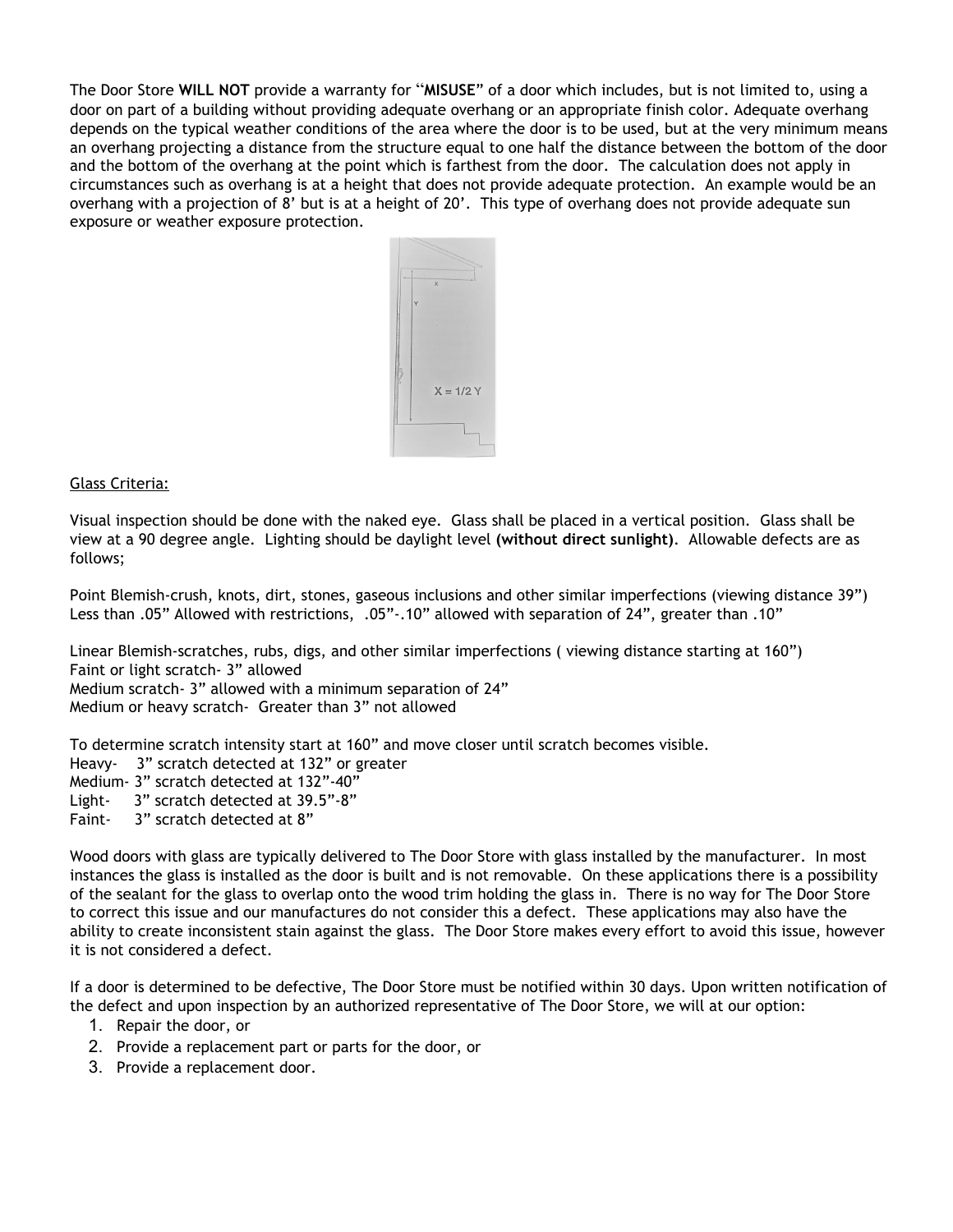The Door Store **WILL NOT** provide a warranty for "**MISUSE**" of a door which includes, but is not limited to, using a door on part of a building without providing adequate overhang or an appropriate finish color. Adequate overhang depends on the typical weather conditions of the area where the door is to be used, but at the very minimum means an overhang projecting a distance from the structure equal to one half the distance between the bottom of the door and the bottom of the overhang at the point which is farthest from the door. The calculation does not apply in circumstances such as overhang is at a height that does not provide adequate protection. An example would be an overhang with a projection of 8' but is at a height of 20'. This type of overhang does not provide adequate sun exposure or weather exposure protection.



# Glass Criteria:

Visual inspection should be done with the naked eye. Glass shall be placed in a vertical position. Glass shall be view at a 90 degree angle. Lighting should be daylight level **(without direct sunlight)**. Allowable defects are as follows;

Point Blemish-crush, knots, dirt, stones, gaseous inclusions and other similar imperfections (viewing distance 39") Less than .05" Allowed with restrictions, .05"-.10" allowed with separation of 24", greater than .10"

Linear Blemish-scratches, rubs, digs, and other similar imperfections ( viewing distance starting at 160") Faint or light scratch- 3" allowed Medium scratch- 3" allowed with a minimum separation of 24" Medium or heavy scratch- Greater than 3" not allowed

To determine scratch intensity start at 160" and move closer until scratch becomes visible.

Heavy- 3" scratch detected at 132" or greater

Medium- 3" scratch detected at 132"-40"

Light- 3" scratch detected at 39.5"-8"

Faint- 3" scratch detected at 8"

Wood doors with glass are typically delivered to The Door Store with glass installed by the manufacturer. In most instances the glass is installed as the door is built and is not removable. On these applications there is a possibility of the sealant for the glass to overlap onto the wood trim holding the glass in. There is no way for The Door Store to correct this issue and our manufactures do not consider this a defect. These applications may also have the ability to create inconsistent stain against the glass. The Door Store makes every effort to avoid this issue, however it is not considered a defect.

If a door is determined to be defective, The Door Store must be notified within 30 days. Upon written notification of the defect and upon inspection by an authorized representative of The Door Store, we will at our option:

- 1. Repair the door, or
- 2. Provide a replacement part or parts for the door, or
- 3. Provide a replacement door.